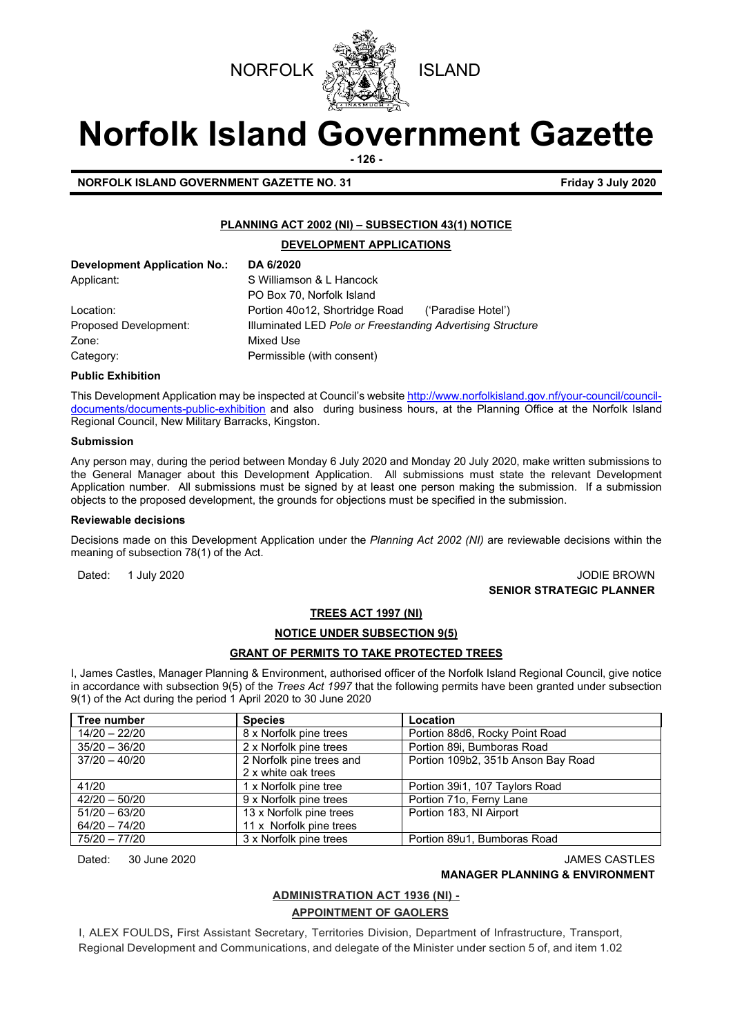



# **Norfolk Island Government Gazette**

**- 126 -**

**NORFOLK ISLAND GOVERNMENT GAZETTE NO. 31 Friday 3 July 2020** 

#### **PLANNING ACT 2002 (NI) – SUBSECTION 43(1) NOTICE**

#### **DEVELOPMENT APPLICATIONS**

| Development Application No.: | DA 6/2020                                                  |                    |
|------------------------------|------------------------------------------------------------|--------------------|
| Applicant:                   | S Williamson & L Hancock                                   |                    |
|                              | PO Box 70, Norfolk Island                                  |                    |
| Location:                    | Portion 40o12, Shortridge Road                             | ('Paradise Hotel') |
| Proposed Development:        | Illuminated LED Pole or Freestanding Advertising Structure |                    |
| Zone:                        | Mixed Use                                                  |                    |
| Category:                    | Permissible (with consent)                                 |                    |

#### **Public Exhibition**

This Development Application may be inspected at Council's websit[e http://www.norfolkisland.gov.nf/your-council/council](http://www.norfolkisland.gov.nf/your-council/council-documents/documents-public-exhibition)[documents/documents-public-exhibition](http://www.norfolkisland.gov.nf/your-council/council-documents/documents-public-exhibition) and also during business hours, at the Planning Office at the Norfolk Island Regional Council, New Military Barracks, Kingston.

#### **Submission**

Any person may, during the period between Monday 6 July 2020 and Monday 20 July 2020, make written submissions to the General Manager about this Development Application. All submissions must state the relevant Development Application number. All submissions must be signed by at least one person making the submission. If a submission objects to the proposed development, the grounds for objections must be specified in the submission.

#### **Reviewable decisions**

Decisions made on this Development Application under the *Planning Act 2002 (NI)* are reviewable decisions within the meaning of subsection 78(1) of the Act.

Dated: 1 July 2020 **Dated: 1 July 2020 SENIOR STRATEGIC PLANNER** 

#### **TREES ACT 1997 (NI)**

#### **NOTICE UNDER SUBSECTION 9(5)**

#### **GRANT OF PERMITS TO TAKE PROTECTED TREES**

I, James Castles, Manager Planning & Environment, authorised officer of the Norfolk Island Regional Council, give notice in accordance with subsection 9(5) of the *Trees Act 1997* that the following permits have been granted under subsection 9(1) of the Act during the period 1 April 2020 to 30 June 2020

| Tree number     | <b>Species</b>           | Location                           |
|-----------------|--------------------------|------------------------------------|
| 14/20 - 22/20   | 8 x Norfolk pine trees   | Portion 88d6, Rocky Point Road     |
| $35/20 - 36/20$ | 2 x Norfolk pine trees   | Portion 89i, Bumboras Road         |
| $37/20 - 40/20$ | 2 Norfolk pine trees and | Portion 109b2, 351b Anson Bay Road |
|                 | 2 x white oak trees      |                                    |
| 41/20           | 1 x Norfolk pine tree    | Portion 39i1, 107 Taylors Road     |
| $42/20 - 50/20$ | 9 x Norfolk pine trees   | Portion 71o, Ferny Lane            |
| $51/20 - 63/20$ | 13 x Norfolk pine trees  | Portion 183, NI Airport            |
| $64/20 - 74/20$ | 11 x Norfolk pine trees  |                                    |
| 75/20 - 77/20   | 3 x Norfolk pine trees   | Portion 89u1, Bumboras Road        |

Dated: 30 June 2020 **JAMES CASTLES** 

#### **MANAGER PLANNING & ENVIRONMENT**

#### **ADMINISTRATION ACT 1936 (NI) -**

#### **APPOINTMENT OF GAOLERS**

I, ALEX FOULDS**,** First Assistant Secretary, Territories Division, Department of Infrastructure, Transport, Regional Development and Communications, and delegate of the Minister under section 5 of, and item 1.02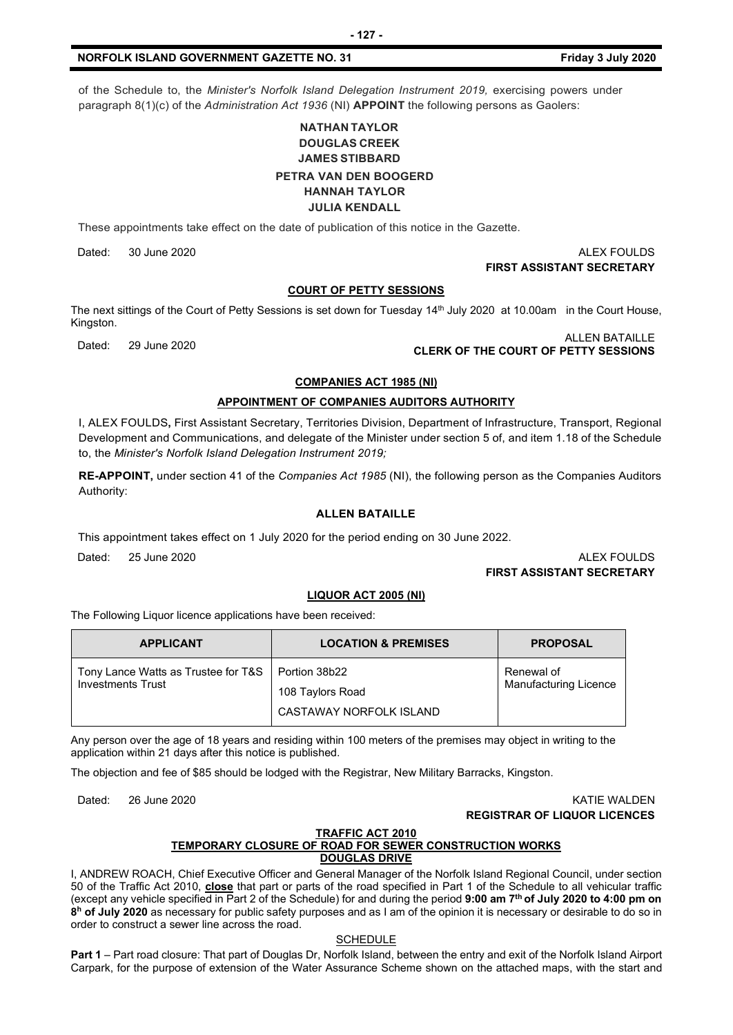of the Schedule to, the *Minister's Norfolk Island Delegation Instrument 2019*, exercising powers under paragraph 8(1)(c) of the *Administration Act 1936* (NI) **APPOINT** the following persons as Gaolers:

#### **NATHAN TAYLOR DOUGLAS CREEK JAMES STIBBARD PETRA VAN DEN BOOGERD HANNAH TAYLOR**

#### **JULIA KENDALL**

These appointments take effect on the date of publication of this notice in the Gazette.

Dated: 30 June 2020 ALEX FOULDS

#### **FIRST ASSISTANT SECRETARY**

#### **COURT OF PETTY SESSIONS**

The next sittings of the Court of Petty Sessions is set down for Tuesday 14<sup>th</sup> July 2020 at 10.00am in the Court House, Kingston.

## Dated: 29 June 2020 ALLEN BATAILLE **CLERK OF THE COURT OF PETTY SESSIONS**

#### **COMPANIES ACT 1985 (NI)**

#### **APPOINTMENT OF COMPANIES AUDITORS AUTHORITY**

I, ALEX FOULDS**,** First Assistant Secretary, Territories Division, Department of Infrastructure, Transport, Regional Development and Communications, and delegate of the Minister under section 5 of, and item 1.18 of the Schedule to, the *Minister's Norfolk Island Delegation Instrument 2019;*

**RE-APPOINT,** under section 41 of the *Companies Act 1985* (NI), the following person as the Companies Auditors Authority:

#### **ALLEN BATAILLE**

This appointment takes effect on 1 July 2020 for the period ending on 30 June 2022.

Dated: 25 June 2020 ALEX FOULDS

#### **FIRST ASSISTANT SECRETARY**

#### **LIQUOR ACT 2005 (NI)**

The Following Liquor licence applications have been received:

| <b>APPLICANT</b>                                    | <b>LOCATION &amp; PREMISES</b> | <b>PROPOSAL</b>              |
|-----------------------------------------------------|--------------------------------|------------------------------|
| Tony Lance Watts as Trustee for T&S   Portion 38b22 | 108 Taylors Road               | Renewal of                   |
| <b>Investments Trust</b>                            | CASTAWAY NORFOLK ISLAND        | <b>Manufacturing Licence</b> |

Any person over the age of 18 years and residing within 100 meters of the premises may object in writing to the application within 21 days after this notice is published.

The objection and fee of \$85 should be lodged with the Registrar, New Military Barracks, Kingston.

Dated: 26 June 2020 KATIE WALDEN **REGISTRAR OF LIQUOR LICENCES**

#### **TRAFFIC ACT 2010**

#### **TEMPORARY CLOSURE OF ROAD FOR SEWER CONSTRUCTION WORKS DOUGLAS DRIVE**

I, ANDREW ROACH, Chief Executive Officer and General Manager of the Norfolk Island Regional Council, under section 50 of the Traffic Act 2010, **close** that part or parts of the road specified in Part 1 of the Schedule to all vehicular traffic (except any vehicle specified in Part 2 of the Schedule) for and during the period **9:00 am 7th of July 2020 to 4:00 pm on 8h of July 2020** as necessary for public safety purposes and as I am of the opinion it is necessary or desirable to do so in order to construct a sewer line across the road.

#### **SCHEDULE**

**Part 1** – Part road closure: That part of Douglas Dr, Norfolk Island, between the entry and exit of the Norfolk Island Airport Carpark, for the purpose of extension of the Water Assurance Scheme shown on the attached maps, with the start and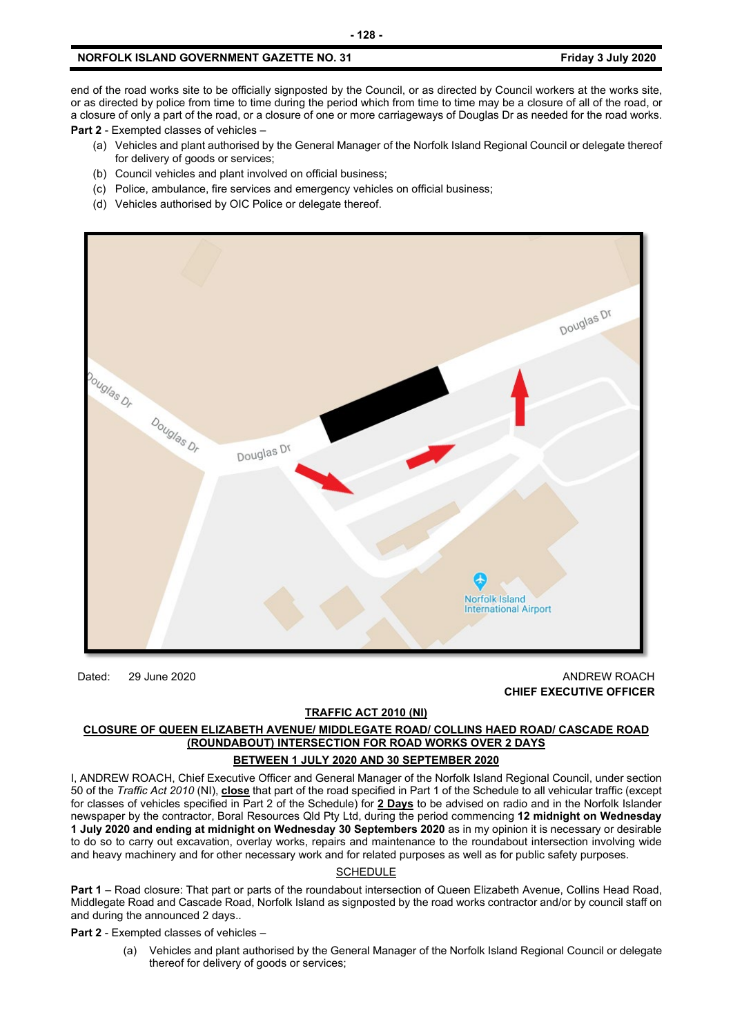end of the road works site to be officially signposted by the Council, or as directed by Council workers at the works site, or as directed by police from time to time during the period which from time to time may be a closure of all of the road, or a closure of only a part of the road, or a closure of one or more carriageways of Douglas Dr as needed for the road works.

**Part 2** - Exempted classes of vehicles –

- (a) Vehicles and plant authorised by the General Manager of the Norfolk Island Regional Council or delegate thereof for delivery of goods or services;
- (b) Council vehicles and plant involved on official business;
- (c) Police, ambulance, fire services and emergency vehicles on official business;
- (d) Vehicles authorised by OIC Police or delegate thereof.



Dated: 29 June 2020 **ANDREW ROACH CHIEF EXECUTIVE OFFICER**

#### **TRAFFIC ACT 2010 (NI)**

#### **CLOSURE OF QUEEN ELIZABETH AVENUE/ MIDDLEGATE ROAD/ COLLINS HAED ROAD/ CASCADE ROAD (ROUNDABOUT) INTERSECTION FOR ROAD WORKS OVER 2 DAYS BETWEEN 1 JULY 2020 AND 30 SEPTEMBER 2020**

I, ANDREW ROACH, Chief Executive Officer and General Manager of the Norfolk Island Regional Council, under section 50 of the *Traffic Act 2010* (NI), **close** that part of the road specified in Part 1 of the Schedule to all vehicular traffic (except for classes of vehicles specified in Part 2 of the Schedule) for **2 Days** to be advised on radio and in the Norfolk Islander newspaper by the contractor, Boral Resources Qld Pty Ltd, during the period commencing **12 midnight on Wednesday 1 July 2020 and ending at midnight on Wednesday 30 Septembers 2020** as in my opinion it is necessary or desirable to do so to carry out excavation, overlay works, repairs and maintenance to the roundabout intersection involving wide and heavy machinery and for other necessary work and for related purposes as well as for public safety purposes.

#### SCHEDULE

**Part 1** – Road closure: That part or parts of the roundabout intersection of Queen Elizabeth Avenue, Collins Head Road, Middlegate Road and Cascade Road, Norfolk Island as signposted by the road works contractor and/or by council staff on and during the announced 2 days..

**Part 2** - Exempted classes of vehicles –

(a) Vehicles and plant authorised by the General Manager of the Norfolk Island Regional Council or delegate thereof for delivery of goods or services;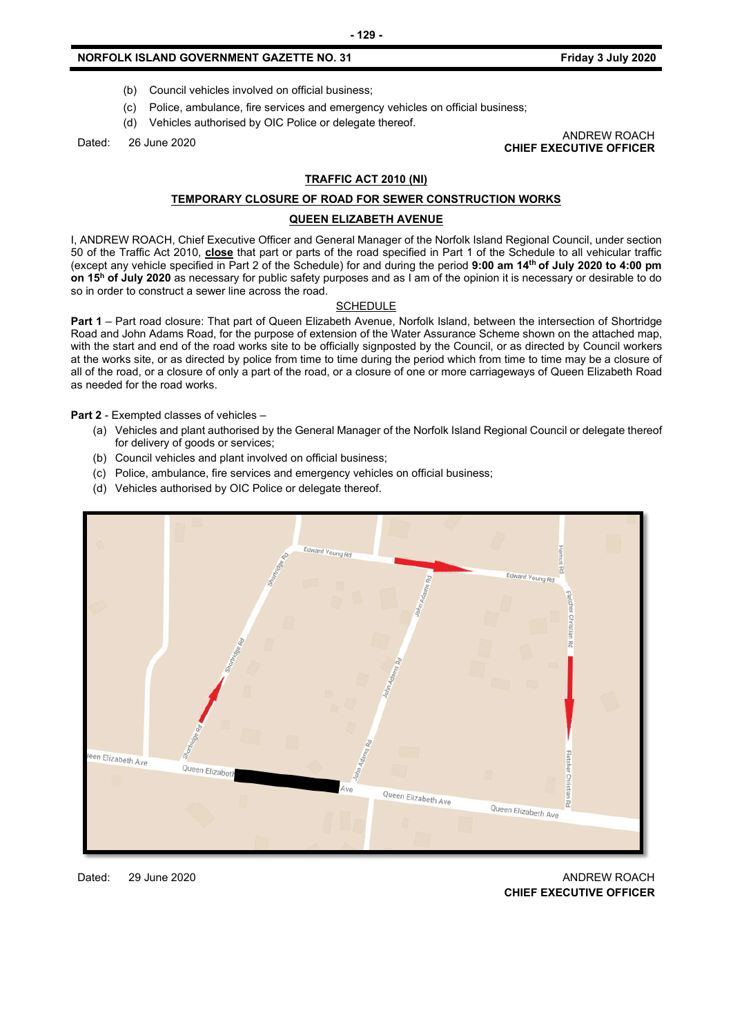- (b) Council vehicles involved on official business;
- (c) Police, ambulance, fire services and emergency vehicles on official business;
- (d) Vehicles authorised by OIC Police or delegate thereof.

Dated: 26 June 2020 ANDREW ROACH **CHIEF EXECUTIVE OFFICER**

#### **TRAFFIC ACT 2010 (NI)**

#### **TEMPORARY CLOSURE OF ROAD FOR SEWER CONSTRUCTION WORKS**

#### **QUEEN ELIZABETH AVENUE**

I, ANDREW ROACH, Chief Executive Officer and General Manager of the Norfolk Island Regional Council, under section 50 of the Traffic Act 2010, **close** that part or parts of the road specified in Part 1 of the Schedule to all vehicular traffic (except any vehicle specified in Part 2 of the Schedule) for and during the period **9:00 am 14th of July 2020 to 4:00 pm on 15h of July 2020** as necessary for public safety purposes and as I am of the opinion it is necessary or desirable to do so in order to construct a sewer line across the road.

#### **SCHEDULE**

Part 1 – Part road closure: That part of Queen Elizabeth Avenue, Norfolk Island, between the intersection of Shortridge Road and John Adams Road, for the purpose of extension of the Water Assurance Scheme shown on the attached map, with the start and end of the road works site to be officially signposted by the Council, or as directed by Council workers at the works site, or as directed by police from time to time during the period which from time to time may be a closure of all of the road, or a closure of only a part of the road, or a closure of one or more carriageways of Queen Elizabeth Road as needed for the road works.

**Part 2** - Exempted classes of vehicles –

- (a) Vehicles and plant authorised by the General Manager of the Norfolk Island Regional Council or delegate thereof for delivery of goods or services;
- (b) Council vehicles and plant involved on official business;
- (c) Police, ambulance, fire services and emergency vehicles on official business;
- (d) Vehicles authorised by OIC Police or delegate thereof.



Dated: 29 June 2020 20 ANDREW ROACH **CHIEF EXECUTIVE OFFICER**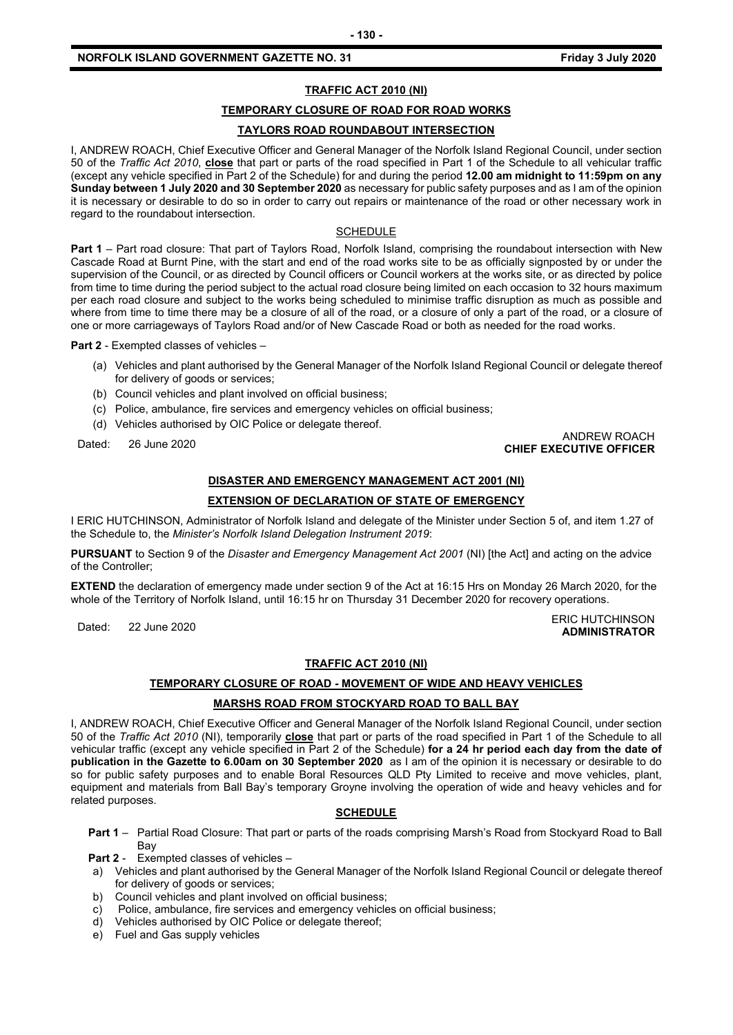#### **TRAFFIC ACT 2010 (NI)**

#### **TEMPORARY CLOSURE OF ROAD FOR ROAD WORKS**

#### **TAYLORS ROAD ROUNDABOUT INTERSECTION**

I, ANDREW ROACH, Chief Executive Officer and General Manager of the Norfolk Island Regional Council, under section 50 of the *Traffic Act 2010*, **close** that part or parts of the road specified in Part 1 of the Schedule to all vehicular traffic (except any vehicle specified in Part 2 of the Schedule) for and during the period **12.00 am midnight to 11:59pm on any Sunday between 1 July 2020 and 30 September 2020** as necessary for public safety purposes and as I am of the opinion it is necessary or desirable to do so in order to carry out repairs or maintenance of the road or other necessary work in regard to the roundabout intersection.

#### **SCHEDULE**

**Part 1** – Part road closure: That part of Taylors Road, Norfolk Island, comprising the roundabout intersection with New Cascade Road at Burnt Pine, with the start and end of the road works site to be as officially signposted by or under the supervision of the Council, or as directed by Council officers or Council workers at the works site, or as directed by police from time to time during the period subject to the actual road closure being limited on each occasion to 32 hours maximum per each road closure and subject to the works being scheduled to minimise traffic disruption as much as possible and where from time to time there may be a closure of all of the road, or a closure of only a part of the road, or a closure of one or more carriageways of Taylors Road and/or of New Cascade Road or both as needed for the road works.

**Part 2** - Exempted classes of vehicles –

- (a) Vehicles and plant authorised by the General Manager of the Norfolk Island Regional Council or delegate thereof for delivery of goods or services;
- (b) Council vehicles and plant involved on official business;
- (c) Police, ambulance, fire services and emergency vehicles on official business;
- (d) Vehicles authorised by OIC Police or delegate thereof.

## Dated: 26 June 2020 ANDREW ROACH **CHIEF EXECUTIVE OFFICER**

#### **DISASTER AND EMERGENCY MANAGEMENT ACT 2001 (NI)**

#### **EXTENSION OF DECLARATION OF STATE OF EMERGENCY**

I ERIC HUTCHINSON, Administrator of Norfolk Island and delegate of the Minister under Section 5 of, and item 1.27 of the Schedule to, the *Minister's Norfolk Island Delegation Instrument 2019*:

**PURSUANT** to Section 9 of the *Disaster and Emergency Management Act 2001* (NI) [the Act] and acting on the advice of the Controller;

**EXTEND** the declaration of emergency made under section 9 of the Act at 16:15 Hrs on Monday 26 March 2020, for the whole of the Territory of Norfolk Island, until 16:15 hr on Thursday 31 December 2020 for recovery operations.

#### Dated: 22 June 2020<br>Dated: 22 June 2020 **ADMINISTRATOR**

#### **TRAFFIC ACT 2010 (NI)**

#### **TEMPORARY CLOSURE OF ROAD - MOVEMENT OF WIDE AND HEAVY VEHICLES**

#### **MARSHS ROAD FROM STOCKYARD ROAD TO BALL BAY**

I, ANDREW ROACH, Chief Executive Officer and General Manager of the Norfolk Island Regional Council, under section 50 of the *Traffic Act 2010* (NI), temporarily **close** that part or parts of the road specified in Part 1 of the Schedule to all vehicular traffic (except any vehicle specified in Part 2 of the Schedule) **for a 24 hr period each day from the date of publication in the Gazette to 6.00am on 30 September 2020** as I am of the opinion it is necessary or desirable to do so for public safety purposes and to enable Boral Resources QLD Pty Limited to receive and move vehicles, plant, equipment and materials from Ball Bay's temporary Groyne involving the operation of wide and heavy vehicles and for related purposes.

#### **SCHEDULE**

**Part 1** – Partial Road Closure: That part or parts of the roads comprising Marsh's Road from Stockyard Road to Ball Bay

**Part 2** - Exempted classes of vehicles –

- a) Vehicles and plant authorised by the General Manager of the Norfolk Island Regional Council or delegate thereof for delivery of goods or services;
- b) Council vehicles and plant involved on official business;
- c) Police, ambulance, fire services and emergency vehicles on official business;
- d) Vehicles authorised by OIC Police or delegate thereof;
- e) Fuel and Gas supply vehicles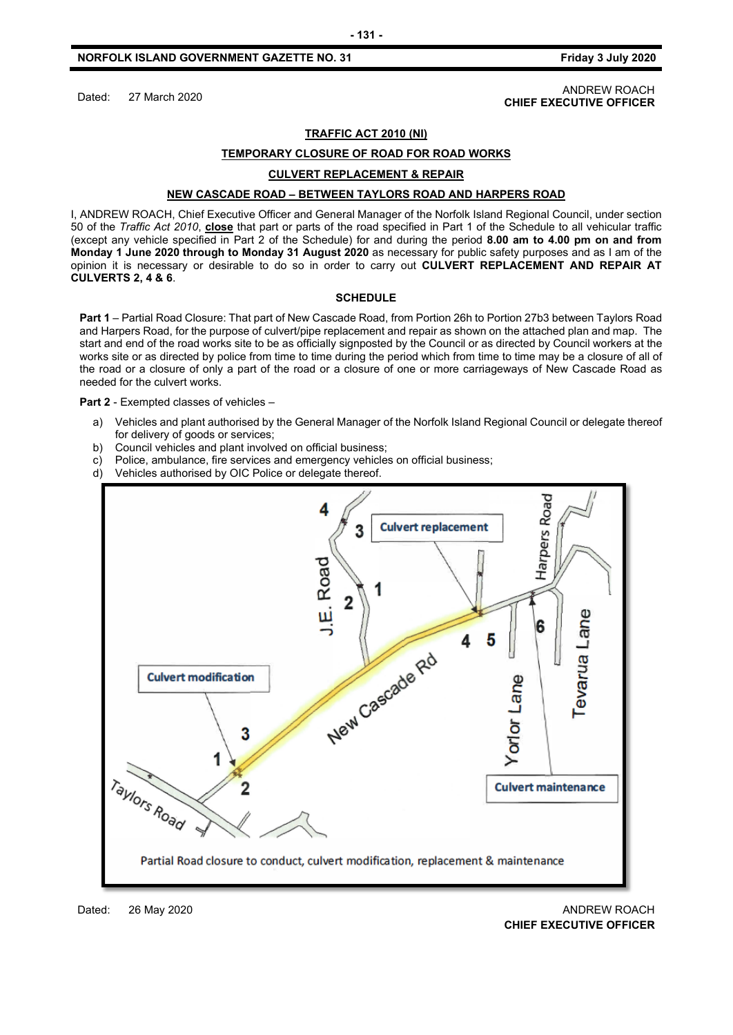Dated: 27 March 2020 ANDREW ROACH **CHIEF EXECUTIVE OFFICER**

#### **TRAFFIC ACT 2010 (NI)**

#### **TEMPORARY CLOSURE OF ROAD FOR ROAD WORKS**

#### **CULVERT REPLACEMENT & REPAIR**

#### **NEW CASCADE ROAD – BETWEEN TAYLORS ROAD AND HARPERS ROAD**

I, ANDREW ROACH, Chief Executive Officer and General Manager of the Norfolk Island Regional Council, under section 50 of the *Traffic Act 2010*, **close** that part or parts of the road specified in Part 1 of the Schedule to all vehicular traffic (except any vehicle specified in Part 2 of the Schedule) for and during the period **8.00 am to 4.00 pm on and from Monday 1 June 2020 through to Monday 31 August 2020** as necessary for public safety purposes and as I am of the opinion it is necessary or desirable to do so in order to carry out **CULVERT REPLACEMENT AND REPAIR AT CULVERTS 2, 4 & 6**.

#### **SCHEDULE**

**Part 1** – Partial Road Closure: That part of New Cascade Road, from Portion 26h to Portion 27b3 between Taylors Road and Harpers Road, for the purpose of culvert/pipe replacement and repair as shown on the attached plan and map. The start and end of the road works site to be as officially signposted by the Council or as directed by Council workers at the works site or as directed by police from time to time during the period which from time to time may be a closure of all of the road or a closure of only a part of the road or a closure of one or more carriageways of New Cascade Road as needed for the culvert works.

#### **Part 2** - Exempted classes of vehicles –

- a) Vehicles and plant authorised by the General Manager of the Norfolk Island Regional Council or delegate thereof for delivery of goods or services;
- b) Council vehicles and plant involved on official business;
- c) Police, ambulance, fire services and emergency vehicles on official business;
- d) Vehicles authorised by OIC Police or delegate thereof.

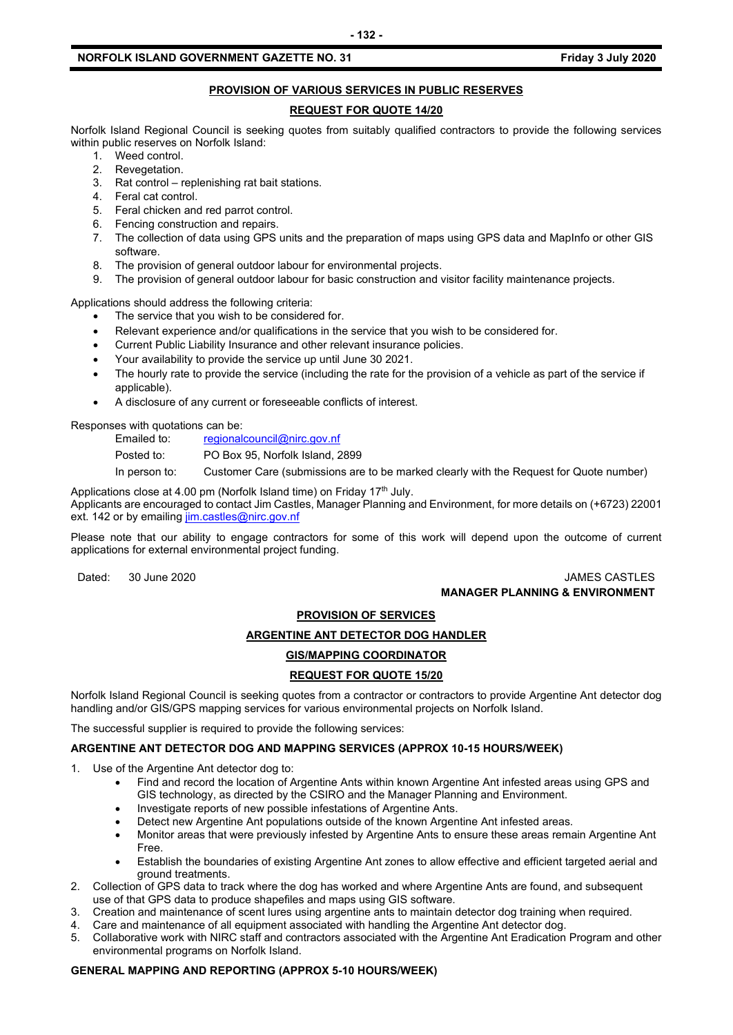#### **PROVISION OF VARIOUS SERVICES IN PUBLIC RESERVES**

#### **REQUEST FOR QUOTE 14/20**

Norfolk Island Regional Council is seeking quotes from suitably qualified contractors to provide the following services within public reserves on Norfolk Island:

- 1. Weed control.
- 2. Revegetation.
- 3. Rat control replenishing rat bait stations.
- 4. Feral cat control.
- 5. Feral chicken and red parrot control.
- 6. Fencing construction and repairs.
- 7. The collection of data using GPS units and the preparation of maps using GPS data and MapInfo or other GIS software.
- 8. The provision of general outdoor labour for environmental projects.
- 9. The provision of general outdoor labour for basic construction and visitor facility maintenance projects.

Applications should address the following criteria:

- The service that you wish to be considered for.
- Relevant experience and/or qualifications in the service that you wish to be considered for.
- Current Public Liability Insurance and other relevant insurance policies.
- Your availability to provide the service up until June 30 2021.
- The hourly rate to provide the service (including the rate for the provision of a vehicle as part of the service if applicable).
- A disclosure of any current or foreseeable conflicts of interest.

Responses with quotations can be:<br>Emailed to: regionale

[regionalcouncil@nirc.gov.nf](mailto:regionalcouncil@nirc.gov.nf)

Posted to: PO Box 95, Norfolk Island, 2899

In person to: Customer Care (submissions are to be marked clearly with the Request for Quote number)

Applications close at 4.00 pm (Norfolk Island time) on Friday 17<sup>th</sup> July. Applicants are encouraged to contact Jim Castles, Manager Planning and Environment, for more details on (+6723) 22001 ext. 142 or by emailin[g jim.castles@nirc.gov.nf](mailto:jim.castles@nirc.gov.nf)

Please note that our ability to engage contractors for some of this work will depend upon the outcome of current applications for external environmental project funding.

#### Dated: 30 June 2020 JAMES CASTLES **MANAGER PLANNING & ENVIRONMENT**

#### **PROVISION OF SERVICES**

#### **ARGENTINE ANT DETECTOR DOG HANDLER**

#### **GIS/MAPPING COORDINATOR**

#### **REQUEST FOR QUOTE 15/20**

Norfolk Island Regional Council is seeking quotes from a contractor or contractors to provide Argentine Ant detector dog handling and/or GIS/GPS mapping services for various environmental projects on Norfolk Island.

The successful supplier is required to provide the following services:

#### **ARGENTINE ANT DETECTOR DOG AND MAPPING SERVICES (APPROX 10-15 HOURS/WEEK)**

- 1. Use of the Argentine Ant detector dog to:
	- Find and record the location of Argentine Ants within known Argentine Ant infested areas using GPS and GIS technology, as directed by the CSIRO and the Manager Planning and Environment.
	- Investigate reports of new possible infestations of Argentine Ants.
	- Detect new Argentine Ant populations outside of the known Argentine Ant infested areas.
	- Monitor areas that were previously infested by Argentine Ants to ensure these areas remain Argentine Ant Free.
	- Establish the boundaries of existing Argentine Ant zones to allow effective and efficient targeted aerial and ground treatments.
- 2. Collection of GPS data to track where the dog has worked and where Argentine Ants are found, and subsequent use of that GPS data to produce shapefiles and maps using GIS software.
- 3. Creation and maintenance of scent lures using argentine ants to maintain detector dog training when required.
- 4. Care and maintenance of all equipment associated with handling the Argentine Ant detector dog.
- 5. Collaborative work with NIRC staff and contractors associated with the Argentine Ant Eradication Program and other environmental programs on Norfolk Island.

#### **GENERAL MAPPING AND REPORTING (APPROX 5-10 HOURS/WEEK)**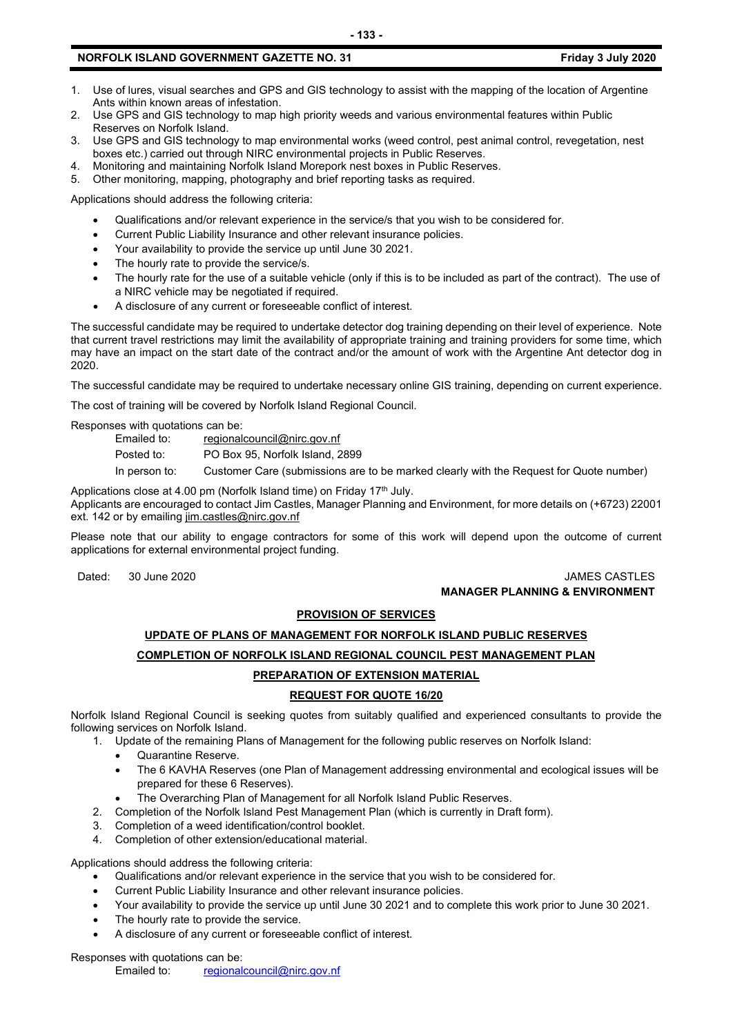- 1. Use of lures, visual searches and GPS and GIS technology to assist with the mapping of the location of Argentine Ants within known areas of infestation.
- 2. Use GPS and GIS technology to map high priority weeds and various environmental features within Public Reserves on Norfolk Island.
- 3. Use GPS and GIS technology to map environmental works (weed control, pest animal control, revegetation, nest boxes etc.) carried out through NIRC environmental projects in Public Reserves.
- 4. Monitoring and maintaining Norfolk Island Morepork nest boxes in Public Reserves.
- 5. Other monitoring, mapping, photography and brief reporting tasks as required.

Applications should address the following criteria:

- Qualifications and/or relevant experience in the service/s that you wish to be considered for.
- Current Public Liability Insurance and other relevant insurance policies.
- Your availability to provide the service up until June 30 2021.
- The hourly rate to provide the service/s.
- The hourly rate for the use of a suitable vehicle (only if this is to be included as part of the contract). The use of a NIRC vehicle may be negotiated if required.
- A disclosure of any current or foreseeable conflict of interest.

The successful candidate may be required to undertake detector dog training depending on their level of experience. Note that current travel restrictions may limit the availability of appropriate training and training providers for some time, which may have an impact on the start date of the contract and/or the amount of work with the Argentine Ant detector dog in 2020.

The successful candidate may be required to undertake necessary online GIS training, depending on current experience.

The cost of training will be covered by Norfolk Island Regional Council.

Responses with quotations can be:

[regionalcouncil@nirc.gov.nf](mailto:regionalcouncil@nirc.gov.nf)

Posted to: PO Box 95, Norfolk Island, 2899

In person to: Customer Care (submissions are to be marked clearly with the Request for Quote number)

Applications close at 4.00 pm (Norfolk Island time) on Friday 17<sup>th</sup> July.

Applicants are encouraged to contact Jim Castles, Manager Planning and Environment, for more details on (+6723) 22001 ext. 142 or by emailin[g jim.castles@nirc.gov.nf](mailto:jim.castles@nirc.gov.nf)

Please note that our ability to engage contractors for some of this work will depend upon the outcome of current applications for external environmental project funding.

#### Dated: 30 June 2020 **JAMES CASTLES MANAGER PLANNING & ENVIRONMENT**

#### **PROVISION OF SERVICES**

### **UPDATE OF PLANS OF MANAGEMENT FOR NORFOLK ISLAND PUBLIC RESERVES COMPLETION OF NORFOLK ISLAND REGIONAL COUNCIL PEST MANAGEMENT PLAN PREPARATION OF EXTENSION MATERIAL**

### **REQUEST FOR QUOTE 16/20**

Norfolk Island Regional Council is seeking quotes from suitably qualified and experienced consultants to provide the following services on Norfolk Island.

- 1. Update of the remaining Plans of Management for the following public reserves on Norfolk Island:
	- Quarantine Reserve.
	- The 6 KAVHA Reserves (one Plan of Management addressing environmental and ecological issues will be prepared for these 6 Reserves).
	- The Overarching Plan of Management for all Norfolk Island Public Reserves.
- 2. Completion of the Norfolk Island Pest Management Plan (which is currently in Draft form).
- 3. Completion of a weed identification/control booklet.
- 4. Completion of other extension/educational material.

Applications should address the following criteria:

- Qualifications and/or relevant experience in the service that you wish to be considered for.
- Current Public Liability Insurance and other relevant insurance policies.
- Your availability to provide the service up until June 30 2021 and to complete this work prior to June 30 2021.
- The hourly rate to provide the service.
- A disclosure of any current or foreseeable conflict of interest.

Responses with quotations can be:<br>Emailed to: regional

[regionalcouncil@nirc.gov.nf](mailto:regionalcouncil@nirc.gov.nf)